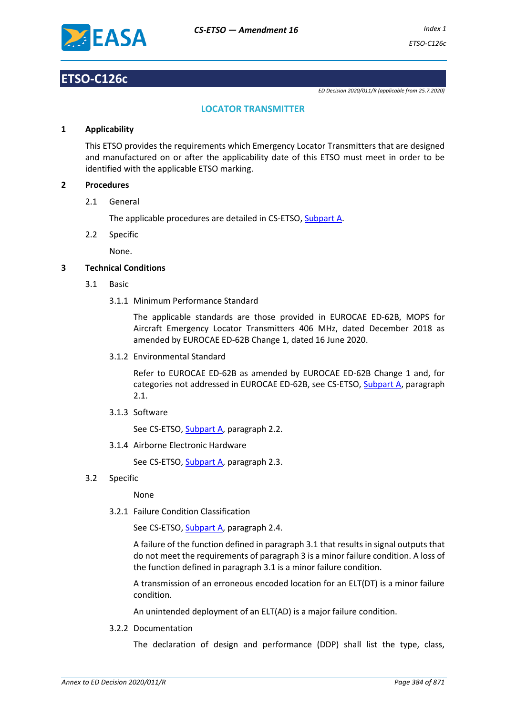

# **ETSO-C126c**

*ED Decision 2020/011/R (applicable from 25.7.2020)*

## **LOCATOR TRANSMITTER**

#### **1 Applicability**

This ETSO provides the requirements which Emergency Locator Transmitters that are designed and manufactured on or after the applicability date of this ETSO must meet in order to be identified with the applicable ETSO marking.

#### **2 Procedures**

2.1 General

The applicable procedures are detailed in CS-ETSO, Subpart A.

2.2 Specific

None.

### **3 Technical Conditions**

- 3.1 Basic
	- 3.1.1 Minimum Performance Standard

The applicable standards are those provided in EUROCAE ED-62B, MOPS for Aircraft Emergency Locator Transmitters 406 MHz, dated December 2018 as amended by EUROCAE ED-62B Change 1, dated 16 June 2020.

3.1.2 Environmental Standard

Refer to EUROCAE ED-62B as amended by EUROCAE ED-62B Change 1 and, for categories not addressed in EUROCAE ED-62B, see CS-ETSO, Subpart A, paragraph 2.1.

3.1.3 Software

See CS-ETSO, Subpart A, paragraph 2.2.

3.1.4 Airborne Electronic Hardware

See CS-ETSO, Subpart A, paragraph 2.3.

3.2 Specific

None

3.2.1 Failure Condition Classification

See CS-ETSO, Subpart A, paragraph 2.4.

A failure of the function defined in paragraph 3.1 that results in signal outputs that do not meet the requirements of paragraph 3 is a minor failure condition. A loss of the function defined in paragraph 3.1 is a minor failure condition.

A transmission of an erroneous encoded location for an ELT(DT) is a minor failure condition.

An unintended deployment of an ELT(AD) is a major failure condition.

3.2.2 Documentation

The declaration of design and performance (DDP) shall list the type, class,